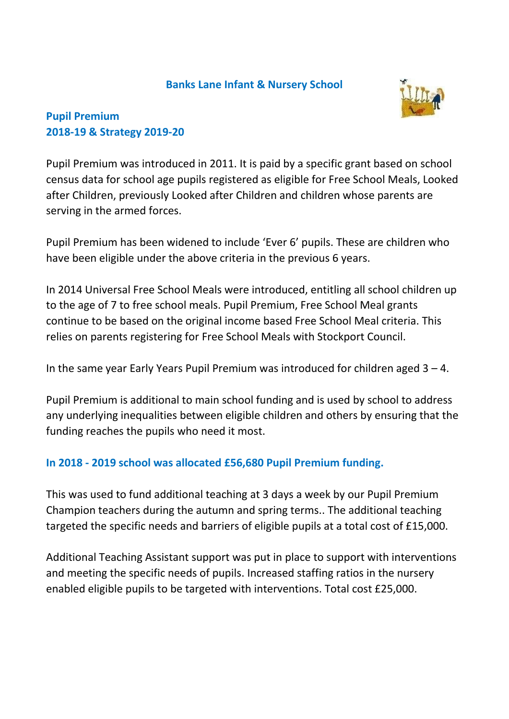#### **Banks Lane Infant & Nursery School**



## **Pupil Premium 2018-19 & Strategy 2019-20**

Pupil Premium was introduced in 2011. It is paid by a specific grant based on school census data for school age pupils registered as eligible for Free School Meals, Looked after Children, previously Looked after Children and children whose parents are serving in the armed forces.

Pupil Premium has been widened to include 'Ever 6' pupils. These are children who have been eligible under the above criteria in the previous 6 years.

In 2014 Universal Free School Meals were introduced, entitling all school children up to the age of 7 to free school meals. Pupil Premium, Free School Meal grants continue to be based on the original income based Free School Meal criteria. This relies on parents registering for Free School Meals with Stockport Council.

In the same year Early Years Pupil Premium was introduced for children aged 3 – 4.

Pupil Premium is additional to main school funding and is used by school to address any underlying inequalities between eligible children and others by ensuring that the funding reaches the pupils who need it most.

### **In 2018 - 2019 school was allocated £56,680 Pupil Premium funding.**

This was used to fund additional teaching at 3 days a week by our Pupil Premium Champion teachers during the autumn and spring terms.. The additional teaching targeted the specific needs and barriers of eligible pupils at a total cost of £15,000.

Additional Teaching Assistant support was put in place to support with interventions and meeting the specific needs of pupils. Increased staffing ratios in the nursery enabled eligible pupils to be targeted with interventions. Total cost £25,000.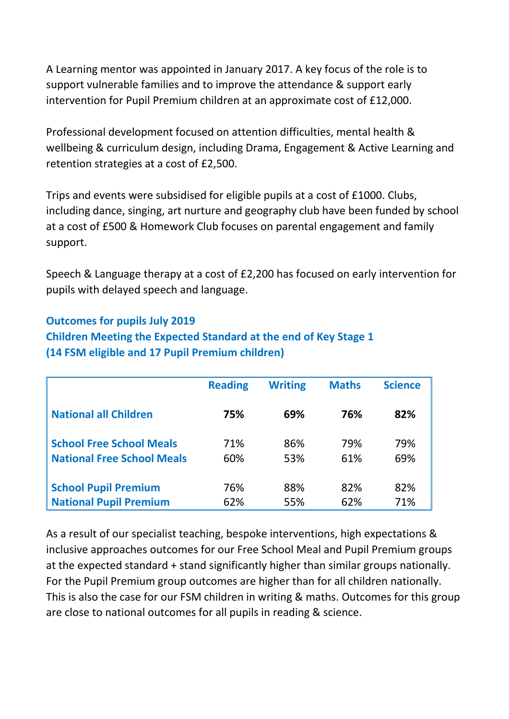A Learning mentor was appointed in January 2017. A key focus of the role is to support vulnerable families and to improve the attendance & support early intervention for Pupil Premium children at an approximate cost of £12,000.

Professional development focused on attention difficulties, mental health & wellbeing & curriculum design, including Drama, Engagement & Active Learning and retention strategies at a cost of £2,500.

Trips and events were subsidised for eligible pupils at a cost of £1000. Clubs, including dance, singing, art nurture and geography club have been funded by school at a cost of £500 & Homework Club focuses on parental engagement and family support.

Speech & Language therapy at a cost of £2,200 has focused on early intervention for pupils with delayed speech and language.

#### **Outcomes for pupils July 2019**

**Children Meeting the Expected Standard at the end of Key Stage 1 (14 FSM eligible and 17 Pupil Premium children)**

|                                   | <b>Reading</b> | <b>Writing</b> | <b>Maths</b> | <b>Science</b> |
|-----------------------------------|----------------|----------------|--------------|----------------|
| <b>National all Children</b>      | 75%            | 69%            | 76%          | 82%            |
| <b>School Free School Meals</b>   | 71%            | 86%            | 79%          | 79%            |
| <b>National Free School Meals</b> | 60%            | 53%            | 61%          | 69%            |
| <b>School Pupil Premium</b>       | 76%            | 88%            | 82%          | 82%            |
| <b>National Pupil Premium</b>     | 62%            | 55%            | 62%          | 71%            |

As a result of our specialist teaching, bespoke interventions, high expectations & inclusive approaches outcomes for our Free School Meal and Pupil Premium groups at the expected standard + stand significantly higher than similar groups nationally. For the Pupil Premium group outcomes are higher than for all children nationally. This is also the case for our FSM children in writing & maths. Outcomes for this group are close to national outcomes for all pupils in reading & science.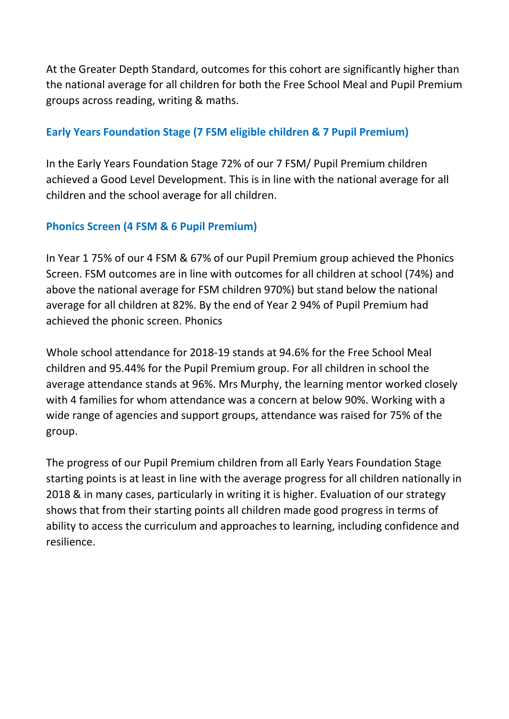At the Greater Depth Standard, outcomes for this cohort are significantly higher than the national average for all children for both the Free School Meal and Pupil Premium groups across reading, writing & maths.

### **Early Years Foundation Stage (7 FSM eligible children & 7 Pupil Premium)**

In the Early Years Foundation Stage 72% of our 7 FSM/ Pupil Premium children achieved a Good Level Development. This is in line with the national average for all children and the school average for all children.

#### **Phonics Screen (4 FSM & 6 Pupil Premium)**

In Year 1 75% of our 4 FSM & 67% of our Pupil Premium group achieved the Phonics Screen. FSM outcomes are in line with outcomes for all children at school (74%) and above the national average for FSM children 970%) but stand below the national average for all children at 82%. By the end of Year 2 94% of Pupil Premium had achieved the phonic screen. Phonics

Whole school attendance for 2018-19 stands at 94.6% for the Free School Meal children and 95.44% for the Pupil Premium group. For all children in school the average attendance stands at 96%. Mrs Murphy, the learning mentor worked closely with 4 families for whom attendance was a concern at below 90%. Working with a wide range of agencies and support groups, attendance was raised for 75% of the group.

The progress of our Pupil Premium children from all Early Years Foundation Stage starting points is at least in line with the average progress for all children nationally in 2018 & in many cases, particularly in writing it is higher. Evaluation of our strategy shows that from their starting points all children made good progress in terms of ability to access the curriculum and approaches to learning, including confidence and resilience.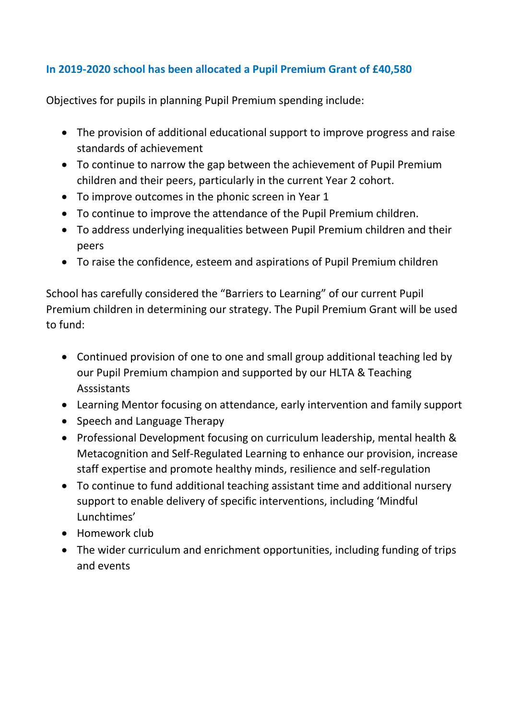# **In 2019-2020 school has been allocated a Pupil Premium Grant of £40,580**

Objectives for pupils in planning Pupil Premium spending include:

- The provision of additional educational support to improve progress and raise standards of achievement
- To continue to narrow the gap between the achievement of Pupil Premium children and their peers, particularly in the current Year 2 cohort.
- To improve outcomes in the phonic screen in Year 1
- To continue to improve the attendance of the Pupil Premium children.
- To address underlying inequalities between Pupil Premium children and their peers
- To raise the confidence, esteem and aspirations of Pupil Premium children

School has carefully considered the "Barriers to Learning" of our current Pupil Premium children in determining our strategy. The Pupil Premium Grant will be used to fund:

- Continued provision of one to one and small group additional teaching led by our Pupil Premium champion and supported by our HLTA & Teaching Asssistants
- Learning Mentor focusing on attendance, early intervention and family support
- Speech and Language Therapy
- Professional Development focusing on curriculum leadership, mental health & Metacognition and Self-Regulated Learning to enhance our provision, increase staff expertise and promote healthy minds, resilience and self-regulation
- To continue to fund additional teaching assistant time and additional nursery support to enable delivery of specific interventions, including 'Mindful Lunchtimes'
- Homework club
- The wider curriculum and enrichment opportunities, including funding of trips and events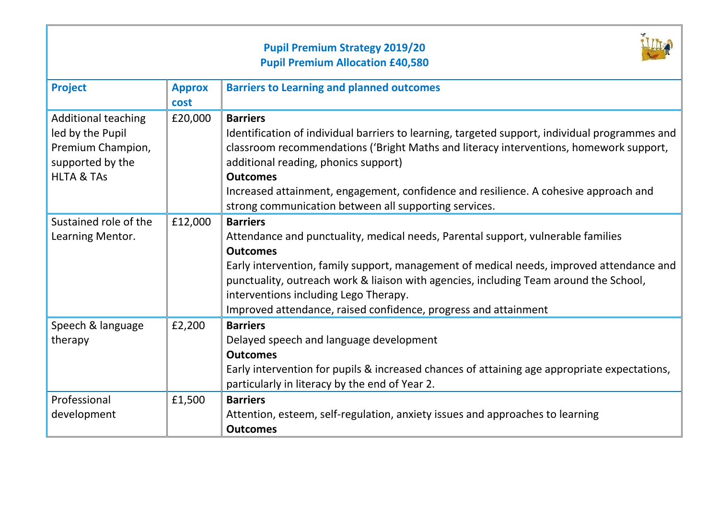|                                                                                                                  |                       | <b>Pupil Premium Strategy 2019/20</b><br><b>Pupil Premium Allocation £40,580</b>                                                                                                                                                                                                                                                                                                                                        |
|------------------------------------------------------------------------------------------------------------------|-----------------------|-------------------------------------------------------------------------------------------------------------------------------------------------------------------------------------------------------------------------------------------------------------------------------------------------------------------------------------------------------------------------------------------------------------------------|
| <b>Project</b>                                                                                                   | <b>Approx</b><br>cost | <b>Barriers to Learning and planned outcomes</b>                                                                                                                                                                                                                                                                                                                                                                        |
| <b>Additional teaching</b><br>led by the Pupil<br>Premium Champion,<br>supported by the<br><b>HLTA &amp; TAS</b> | £20,000               | <b>Barriers</b><br>Identification of individual barriers to learning, targeted support, individual programmes and<br>classroom recommendations ('Bright Maths and literacy interventions, homework support,<br>additional reading, phonics support)<br><b>Outcomes</b><br>Increased attainment, engagement, confidence and resilience. A cohesive approach and<br>strong communication between all supporting services. |
| Sustained role of the<br>Learning Mentor.                                                                        | £12,000               | <b>Barriers</b><br>Attendance and punctuality, medical needs, Parental support, vulnerable families<br><b>Outcomes</b><br>Early intervention, family support, management of medical needs, improved attendance and<br>punctuality, outreach work & liaison with agencies, including Team around the School,<br>interventions including Lego Therapy.<br>Improved attendance, raised confidence, progress and attainment |
| Speech & language<br>therapy                                                                                     | £2,200                | <b>Barriers</b><br>Delayed speech and language development<br><b>Outcomes</b><br>Early intervention for pupils & increased chances of attaining age appropriate expectations,<br>particularly in literacy by the end of Year 2.                                                                                                                                                                                         |
| Professional<br>development                                                                                      | £1,500                | <b>Barriers</b><br>Attention, esteem, self-regulation, anxiety issues and approaches to learning<br><b>Outcomes</b>                                                                                                                                                                                                                                                                                                     |